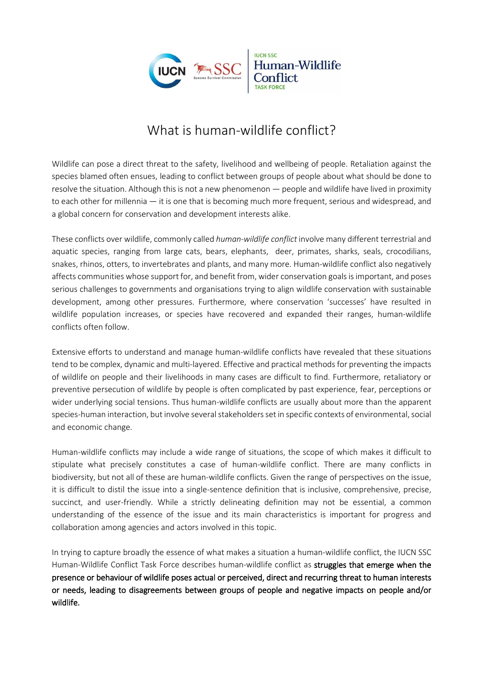

# What is human-wildlife conflict?

Wildlife can pose a direct threat to the safety, livelihood and wellbeing of people. Retaliation against the species blamed often ensues, leading to conflict between groups of people about what should be done to resolve the situation. Although this is not a new phenomenon — people and wildlife have lived in proximity to each other for millennia — it is one that is becoming much more frequent, serious and widespread, and a global concern for conservation and development interests alike.

These conflicts over wildlife, commonly called *human-wildlife conflict* involve many different terrestrial and aquatic species, ranging from large cats, bears, elephants, deer, primates, sharks, seals, crocodilians, snakes, rhinos, otters, to invertebrates and plants, and many more. Human-wildlife conflict also negatively affects communities whose support for, and benefit from, wider conservation goals is important, and poses serious challenges to governments and organisations trying to align wildlife conservation with sustainable development, among other pressures. Furthermore, where conservation 'successes' have resulted in wildlife population increases, or species have recovered and expanded their ranges, human-wildlife conflicts often follow.

Extensive efforts to understand and manage human-wildlife conflicts have revealed that these situations tend to be complex, dynamic and multi-layered. Effective and practical methods for preventing the impacts of wildlife on people and their livelihoods in many cases are difficult to find. Furthermore, retaliatory or preventive persecution of wildlife by people is often complicated by past experience, fear, perceptions or wider underlying social tensions. Thus human-wildlife conflicts are usually about more than the apparent species-human interaction, but involve several stakeholders set in specific contexts of environmental, social and economic change.

Human-wildlife conflicts may include a wide range of situations, the scope of which makes it difficult to stipulate what precisely constitutes a case of human-wildlife conflict. There are many conflicts in biodiversity, but not all of these are human-wildlife conflicts. Given the range of perspectives on the issue, it is difficult to distil the issue into a single-sentence definition that is inclusive, comprehensive, precise, succinct, and user-friendly. While a strictly delineating definition may not be essential, a common understanding of the essence of the issue and its main characteristics is important for progress and collaboration among agencies and actors involved in this topic.

In trying to capture broadly the essence of what makes a situation a human-wildlife conflict, the IUCN SSC Human-Wildlife Conflict Task Force describes human-wildlife conflict as struggles that emerge when the presence or behaviour of wildlife poses actual or perceived, direct and recurring threat to human interests or needs, leading to disagreements between groups of people and negative impacts on people and/or wildlife.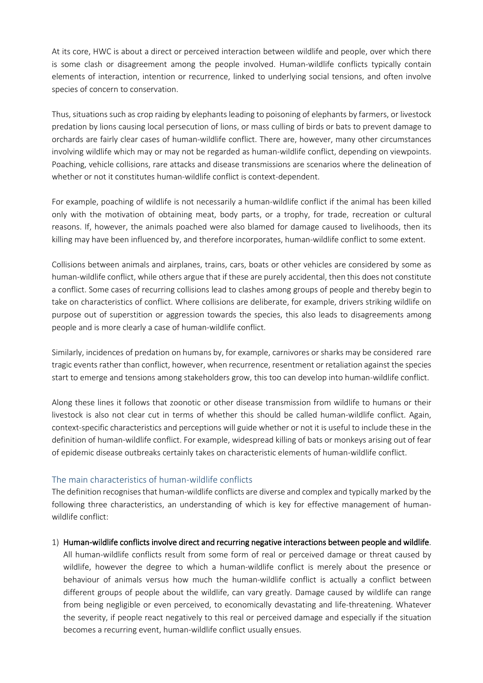At its core, HWC is about a direct or perceived interaction between wildlife and people, over which there is some clash or disagreement among the people involved. Human-wildlife conflicts typically contain elements of interaction, intention or recurrence, linked to underlying social tensions, and often involve species of concern to conservation.

Thus, situations such as crop raiding by elephants leading to poisoning of elephants by farmers, or livestock predation by lions causing local persecution of lions, or mass culling of birds or bats to prevent damage to orchards are fairly clear cases of human-wildlife conflict. There are, however, many other circumstances involving wildlife which may or may not be regarded as human-wildlife conflict, depending on viewpoints. Poaching, vehicle collisions, rare attacks and disease transmissions are scenarios where the delineation of whether or not it constitutes human-wildlife conflict is context-dependent.

For example, poaching of wildlife is not necessarily a human-wildlife conflict if the animal has been killed only with the motivation of obtaining meat, body parts, or a trophy, for trade, recreation or cultural reasons. If, however, the animals poached were also blamed for damage caused to livelihoods, then its killing may have been influenced by, and therefore incorporates, human-wildlife conflict to some extent.

Collisions between animals and airplanes, trains, cars, boats or other vehicles are considered by some as human-wildlife conflict, while others argue that if these are purely accidental, then this does not constitute a conflict. Some cases of recurring collisions lead to clashes among groups of people and thereby begin to take on characteristics of conflict. Where collisions are deliberate, for example, drivers striking wildlife on purpose out of superstition or aggression towards the species, this also leads to disagreements among people and is more clearly a case of human-wildlife conflict.

Similarly, incidences of predation on humans by, for example, carnivores or sharks may be considered rare tragic events rather than conflict, however, when recurrence, resentment or retaliation against the species start to emerge and tensions among stakeholders grow, this too can develop into human-wildlife conflict.

Along these lines it follows that zoonotic or other disease transmission from wildlife to humans or their livestock is also not clear cut in terms of whether this should be called human-wildlife conflict. Again, context-specific characteristics and perceptions will guide whether or not it is useful to include these in the definition of human-wildlife conflict. For example, widespread killing of bats or monkeys arising out of fear of epidemic disease outbreaks certainly takes on characteristic elements of human-wildlife conflict.

### The main characteristics of human-wildlife conflicts

The definition recognises that human-wildlife conflicts are diverse and complex and typically marked by the following three characteristics, an understanding of which is key for effective management of humanwildlife conflict:

### 1) Human-wildlife conflicts involve direct and recurring negative interactions between people and wildlife.

All human-wildlife conflicts result from some form of real or perceived damage or threat caused by wildlife, however the degree to which a human-wildlife conflict is merely about the presence or behaviour of animals versus how much the human-wildlife conflict is actually a conflict between different groups of people about the wildlife, can vary greatly. Damage caused by wildlife can range from being negligible or even perceived, to economically devastating and life-threatening. Whatever the severity, if people react negatively to this real or perceived damage and especially if the situation becomes a recurring event, human-wildlife conflict usually ensues.